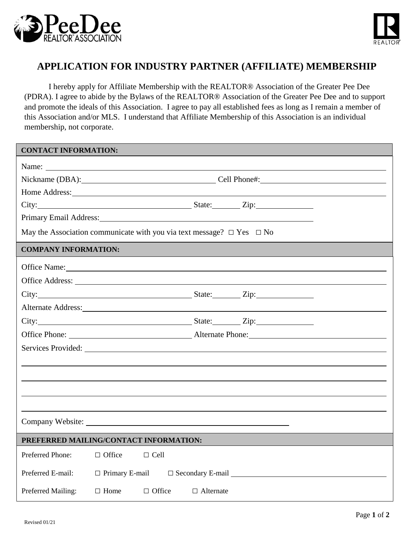



## **APPLICATION FOR INDUSTRY PARTNER (AFFILIATE) MEMBERSHIP**

I hereby apply for Affiliate Membership with the REALTOR® Association of the Greater Pee Dee (PDRA). I agree to abide by the Bylaws of the REALTOR® Association of the Greater Pee Dee and to support and promote the ideals of this Association. I agree to pay all established fees as long as I remain a member of this Association and/or MLS. I understand that Affiliate Membership of this Association is an individual membership, not corporate.

| <b>CONTACT INFORMATION:</b>                                                     |                                        |                                                                                                                                                                                                                                |  |  |  |  |
|---------------------------------------------------------------------------------|----------------------------------------|--------------------------------------------------------------------------------------------------------------------------------------------------------------------------------------------------------------------------------|--|--|--|--|
|                                                                                 |                                        |                                                                                                                                                                                                                                |  |  |  |  |
|                                                                                 |                                        | Nickname (DBA): Cell Phone#:                                                                                                                                                                                                   |  |  |  |  |
|                                                                                 |                                        |                                                                                                                                                                                                                                |  |  |  |  |
|                                                                                 |                                        |                                                                                                                                                                                                                                |  |  |  |  |
|                                                                                 |                                        | Primary Email Address: Manual Address: All Annual Address: All Annual Address: All Annual Address: All Annual Address: All Annual Address: All Annual Address: All Annual Address: All Annual Address: All Annual Address: All |  |  |  |  |
| May the Association communicate with you via text message? $\Box$ Yes $\Box$ No |                                        |                                                                                                                                                                                                                                |  |  |  |  |
| <b>COMPANY INFORMATION:</b>                                                     |                                        |                                                                                                                                                                                                                                |  |  |  |  |
|                                                                                 |                                        | Office Name: Name:                                                                                                                                                                                                             |  |  |  |  |
|                                                                                 |                                        | Office Address: <u>New York: 2008</u>                                                                                                                                                                                          |  |  |  |  |
|                                                                                 |                                        |                                                                                                                                                                                                                                |  |  |  |  |
|                                                                                 |                                        | Alternate Address: Note and the Second Contract of the Second Contract of the Second Contract of the Second Contract of the Second Contract of the Second Contract of the Second Contract of the Second Contract of the Second |  |  |  |  |
|                                                                                 |                                        |                                                                                                                                                                                                                                |  |  |  |  |
|                                                                                 |                                        |                                                                                                                                                                                                                                |  |  |  |  |
|                                                                                 |                                        |                                                                                                                                                                                                                                |  |  |  |  |
|                                                                                 |                                        |                                                                                                                                                                                                                                |  |  |  |  |
|                                                                                 |                                        |                                                                                                                                                                                                                                |  |  |  |  |
|                                                                                 |                                        |                                                                                                                                                                                                                                |  |  |  |  |
|                                                                                 |                                        |                                                                                                                                                                                                                                |  |  |  |  |
|                                                                                 |                                        |                                                                                                                                                                                                                                |  |  |  |  |
|                                                                                 | PREFERRED MAILING/CONTACT INFORMATION: |                                                                                                                                                                                                                                |  |  |  |  |
| Preferred Phone:                                                                | $\Box$ Office<br>$\Box$ Cell           |                                                                                                                                                                                                                                |  |  |  |  |
| Preferred E-mail:                                                               |                                        | $\Box$ Primary E-mail $\Box$ Secondary E-mail $\Box$                                                                                                                                                                           |  |  |  |  |
| Preferred Mailing:                                                              | $\Box$ Office<br>$\Box$ Home           | $\Box$ Alternate                                                                                                                                                                                                               |  |  |  |  |